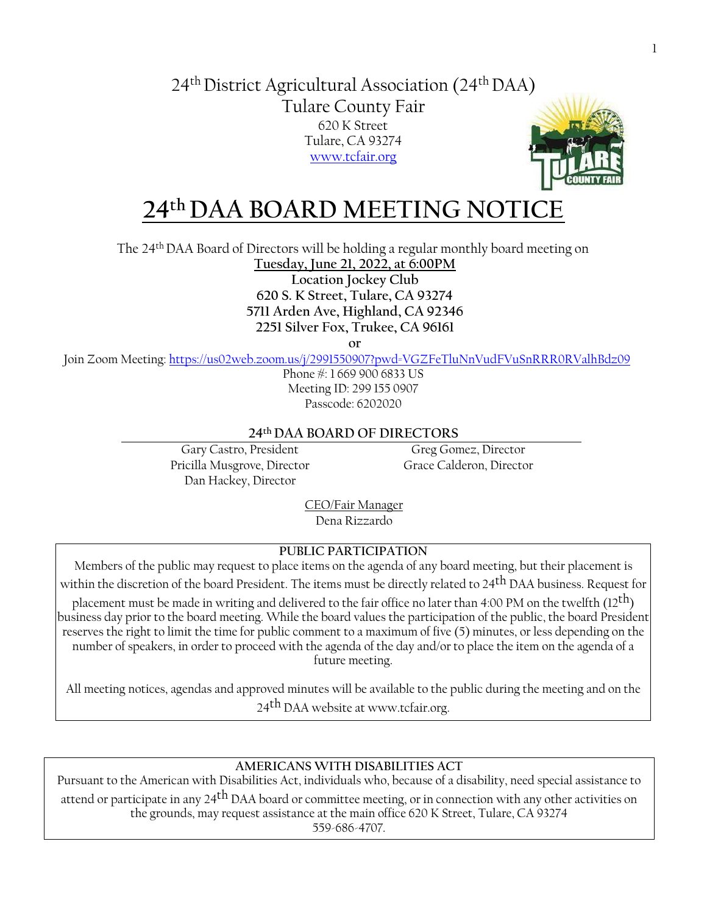## 24th District Agricultural Association (24th DAA) Tulare County Fair 620 K Street Tulare, CA 93274 [www.tcfair.org](http://www.tcfair.org/)



# **24th DAA BOARD MEETING NOTICE**

The 24th DAA Board of Directors will be holding a regular monthly board meeting on

**Tuesday, June 21, 2022, at 6:00PM Location Jockey Club 620 S. K Street, Tulare, CA 93274 5711 Arden Ave, Highland, CA 92346 2251 Silver Fox, Trukee, CA 96161**

**or**

Join Zoom Meeting[: https://us02web.zoom.us/j/2991550907?pwd=VGZFeTluNnVudFVuSnRRR0RValhBdz09](https://us02web.zoom.us/j/2991550907?pwd=VGZFeTluNnVudFVuSnRRR0RValhBdz09)

Phone #: 1 669 900 6833 US Meeting ID: 299 155 0907 Passcode: 6202020

## **24th DAA BOARD OF DIRECTORS**

Gary Castro, President Greg Gomez, Director Pricilla Musgrove, Director Grace Calderon, Director Dan Hackey, Director

CEO/Fair Manager Dena Rizzardo

## **PUBLIC PARTICIPATION**

Members of the public may request to place items on the agenda of any board meeting, but their placement is within the discretion of the board President. The items must be directly related to 24<sup>th</sup> DAA business. Request for placement must be made in writing and delivered to the fair office no later than 4:00 PM on the twelfth (12<sup>th</sup>) business day prior to the board meeting. While the board values the participation of the public, the board President reserves the right to limit the time for public comment to a maximum of five (5) minutes, or less depending on the number of speakers, in order to proceed with the agenda of the day and/or to place the item on the agenda of a future meeting.

All meeting notices, agendas and approved minutes will be available to the public during the meeting and on the 24<sup>th</sup> DAA [website at www.tcfair.org.](http://www.tcfair.org/)

## **AMERICANS WITH DISABILITIES ACT**

Pursuant to the American with Disabilities Act, individuals who, because of a disability, need special assistance to attend or participate in any 24<sup>th</sup> DAA board or committee meeting, or in connection with any other activities on the grounds, may request assistance at the main office 620 K Street, Tulare, CA 93274 559-686-4707.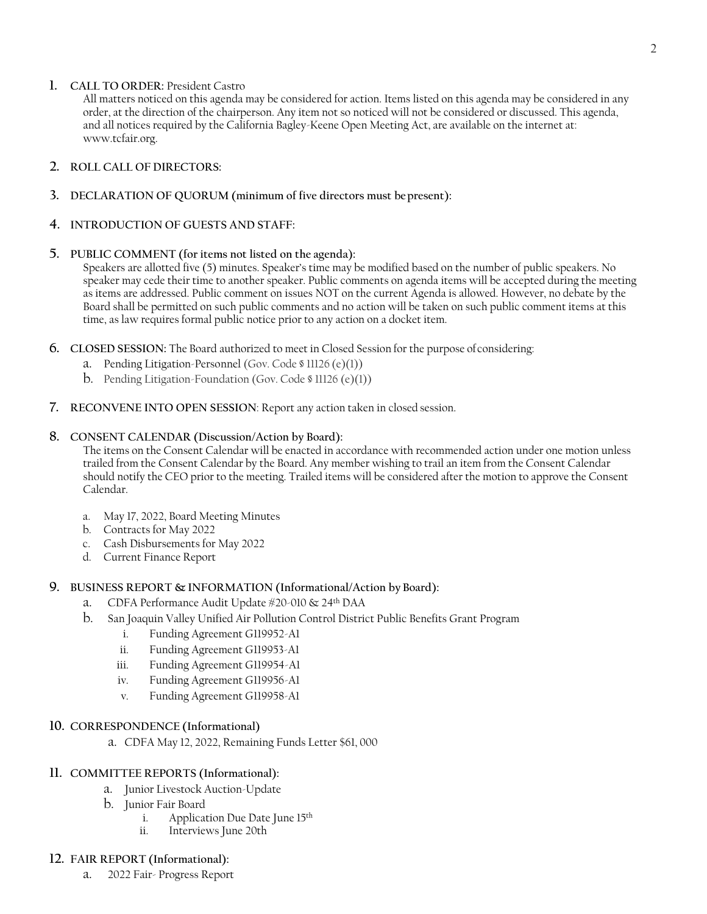#### **1. CALL TO ORDER:** President Castro

All matters noticed on this agenda may be considered for action. Items listed on this agenda may be considered in any order, at the direction of the chairperson. Any item not so noticed will not be considered or discussed. This agenda, and all notices required by the California Bagley-Keene Open Meeting Act, are available on the internet at: [www.tcfair.org.](http://www.tcfair.org/)

#### **2. ROLL CALL OF DIRECTORS:**

**3. DECLARATION OF QUORUM (minimum of five directors must bepresent):**

#### **4. INTRODUCTION OF GUESTS AND STAFF:**

#### **5. PUBLIC COMMENT (for items not listed on the agenda):**

Speakers are allotted five (5) minutes. Speaker's time may be modified based on the number of public speakers. No speaker may cede their time to another speaker. Public comments on agenda items will be accepted during the meeting as items are addressed. Public comment on issues NOT on the current Agenda is allowed. However, no debate by the Board shall be permitted on such public comments and no action will be taken on such public comment items at this time, as law requires formal public notice prior to any action on a docket item.

- **6. CLOSED SESSION:** The Board authorized to meet in Closed Session for the purpose ofconsidering:
	- a. Pending Litigation-Personnel (Gov. Code § 11126 (e)(1))
	- b. Pending Litigation-Foundation (Gov. Code § 11126 (e)(1))
- **7. RECONVENE INTO OPEN SESSION**: Report any action taken in closed session.

#### **8. CONSENT CALENDAR (Discussion/Action by Board):**

The items on the Consent Calendar will be enacted in accordance with recommended action under one motion unless trailed from the Consent Calendar by the Board. Any member wishing to trail an item from the Consent Calendar should notify the CEO prior to the meeting. Trailed items will be considered after the motion to approve the Consent Calendar.

- a. May 17, 2022, Board Meeting Minutes
- b. Contracts for May 2022
- c. Cash Disbursements for May 2022
- d. Current Finance Report

#### **9. BUSINESS REPORT & INFORMATION (Informational/Action by Board):**

- a. CDFA Performance Audit Update #20-010 & 24th DAA
- b. San Joaquin Valley Unified Air Pollution Control District Public Benefits Grant Program
	- i. Funding Agreement G119952-A1
	- ii. Funding Agreement G119953-A1
	- iii. Funding Agreement G119954-A1
	- iv. Funding Agreement G119956-A1
	- v. Funding Agreement G119958-A1

#### **10. CORRESPONDENCE (Informational)**

a. CDFA May 12, 2022, Remaining Funds Letter \$61, 000

#### **11. COMMITTEE REPORTS (Informational):**

- a. Junior Livestock Auction-Update
- b. Junior Fair Board
	- i. Application Due Date June 15<sup>th</sup><br>ii. Interviews Iune 20th
	- Interviews June 20th

#### **12. FAIR REPORT (Informational):**

a. 2022 Fair- Progress Report